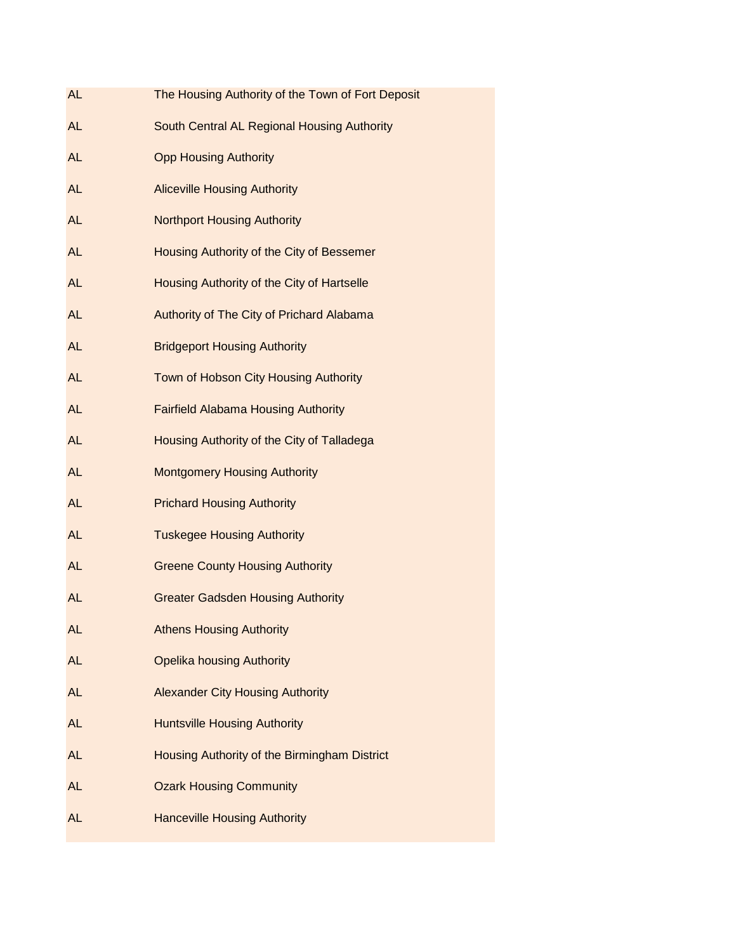| <b>AL</b> | The Housing Authority of the Town of Fort Deposit |
|-----------|---------------------------------------------------|
| <b>AL</b> | South Central AL Regional Housing Authority       |
| <b>AL</b> | <b>Opp Housing Authority</b>                      |
| AL        | <b>Aliceville Housing Authority</b>               |
| <b>AL</b> | <b>Northport Housing Authority</b>                |
| <b>AL</b> | Housing Authority of the City of Bessemer         |
| <b>AL</b> | Housing Authority of the City of Hartselle        |
| <b>AL</b> | Authority of The City of Prichard Alabama         |
| AL        | <b>Bridgeport Housing Authority</b>               |
| <b>AL</b> | Town of Hobson City Housing Authority             |
| <b>AL</b> | <b>Fairfield Alabama Housing Authority</b>        |
| <b>AL</b> | Housing Authority of the City of Talladega        |
| AL        | <b>Montgomery Housing Authority</b>               |
| <b>AL</b> | <b>Prichard Housing Authority</b>                 |
| <b>AL</b> | <b>Tuskegee Housing Authority</b>                 |
| <b>AL</b> | <b>Greene County Housing Authority</b>            |
| AL        | <b>Greater Gadsden Housing Authority</b>          |
| AL        | <b>Athens Housing Authority</b>                   |
| <b>AL</b> | <b>Opelika housing Authority</b>                  |
| <b>AL</b> | <b>Alexander City Housing Authority</b>           |
| <b>AL</b> | <b>Huntsville Housing Authority</b>               |
| <b>AL</b> | Housing Authority of the Birmingham District      |
| AL        | <b>Ozark Housing Community</b>                    |
| <b>AL</b> | <b>Hanceville Housing Authority</b>               |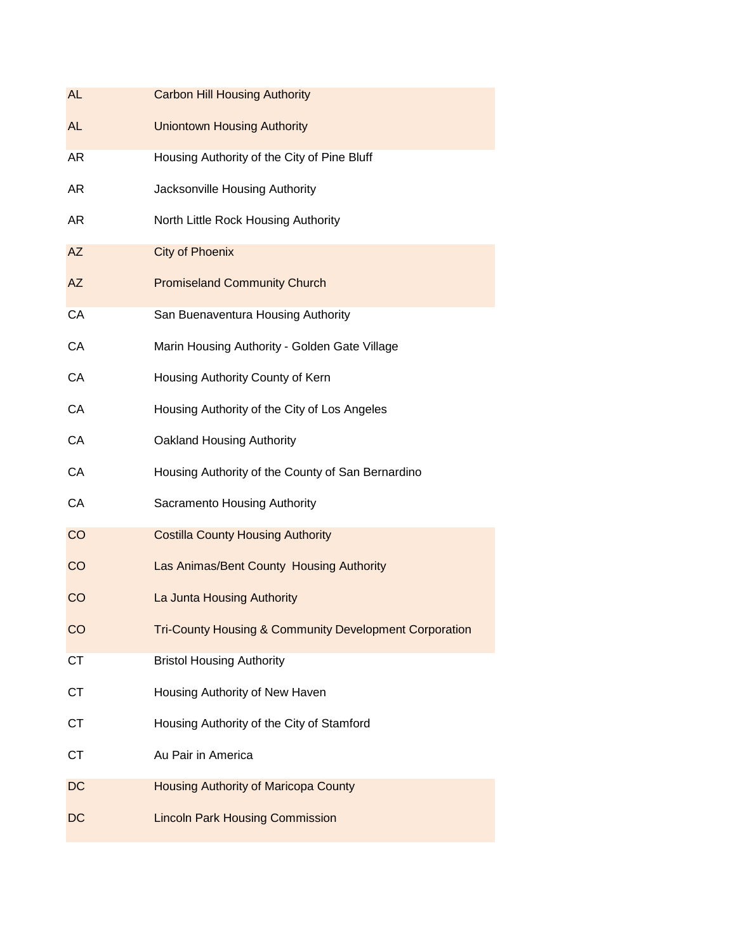| <b>AL</b> | <b>Carbon Hill Housing Authority</b>                              |
|-----------|-------------------------------------------------------------------|
| <b>AL</b> | <b>Uniontown Housing Authority</b>                                |
| AR        | Housing Authority of the City of Pine Bluff                       |
| AR        | Jacksonville Housing Authority                                    |
| AR        | North Little Rock Housing Authority                               |
| <b>AZ</b> | <b>City of Phoenix</b>                                            |
| <b>AZ</b> | <b>Promiseland Community Church</b>                               |
| CA        | San Buenaventura Housing Authority                                |
| CA        | Marin Housing Authority - Golden Gate Village                     |
| CA        | Housing Authority County of Kern                                  |
| CA        | Housing Authority of the City of Los Angeles                      |
| CA        | <b>Oakland Housing Authority</b>                                  |
| CA        | Housing Authority of the County of San Bernardino                 |
| CA        | Sacramento Housing Authority                                      |
| CO        | <b>Costilla County Housing Authority</b>                          |
| CO        | Las Animas/Bent County Housing Authority                          |
| CO        | La Junta Housing Authority                                        |
| CO        | <b>Tri-County Housing &amp; Community Development Corporation</b> |
| <b>CT</b> | <b>Bristol Housing Authority</b>                                  |
| <b>CT</b> | Housing Authority of New Haven                                    |
| <b>CT</b> | Housing Authority of the City of Stamford                         |
| <b>CT</b> | Au Pair in America                                                |
| DC        | <b>Housing Authority of Maricopa County</b>                       |
| DC        | <b>Lincoln Park Housing Commission</b>                            |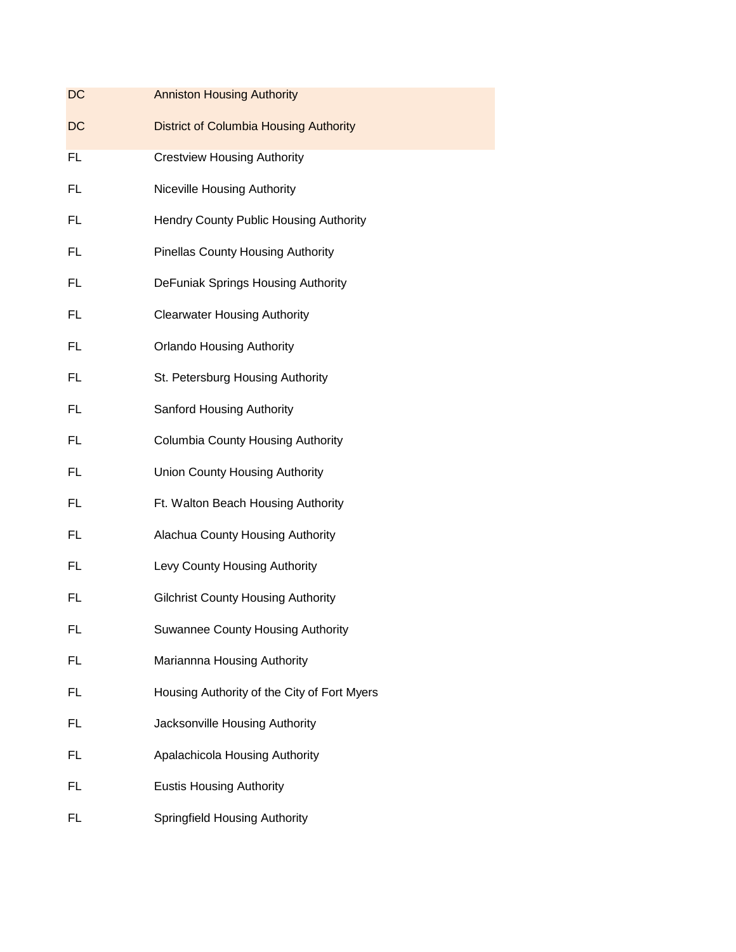| DC        | <b>Anniston Housing Authority</b>             |
|-----------|-----------------------------------------------|
| <b>DC</b> | <b>District of Columbia Housing Authority</b> |
| <b>FL</b> | <b>Crestview Housing Authority</b>            |
| FL        | Niceville Housing Authority                   |
| FL        | Hendry County Public Housing Authority        |
| FL        | <b>Pinellas County Housing Authority</b>      |
| FL        | DeFuniak Springs Housing Authority            |
| FL        | <b>Clearwater Housing Authority</b>           |
| FL        | <b>Orlando Housing Authority</b>              |
| FL        | St. Petersburg Housing Authority              |
| FL        | Sanford Housing Authority                     |
| FL        | <b>Columbia County Housing Authority</b>      |
| FL        | <b>Union County Housing Authority</b>         |
| FL        | Ft. Walton Beach Housing Authority            |
| FL        | Alachua County Housing Authority              |
| FL        | Levy County Housing Authority                 |
| FL        | <b>Gilchrist County Housing Authority</b>     |
| FL        | <b>Suwannee County Housing Authority</b>      |
| <b>FL</b> | Mariannna Housing Authority                   |
| FL        | Housing Authority of the City of Fort Myers   |
| FL        | Jacksonville Housing Authority                |
| FL        | Apalachicola Housing Authority                |
| FL        | <b>Eustis Housing Authority</b>               |
| FL        | <b>Springfield Housing Authority</b>          |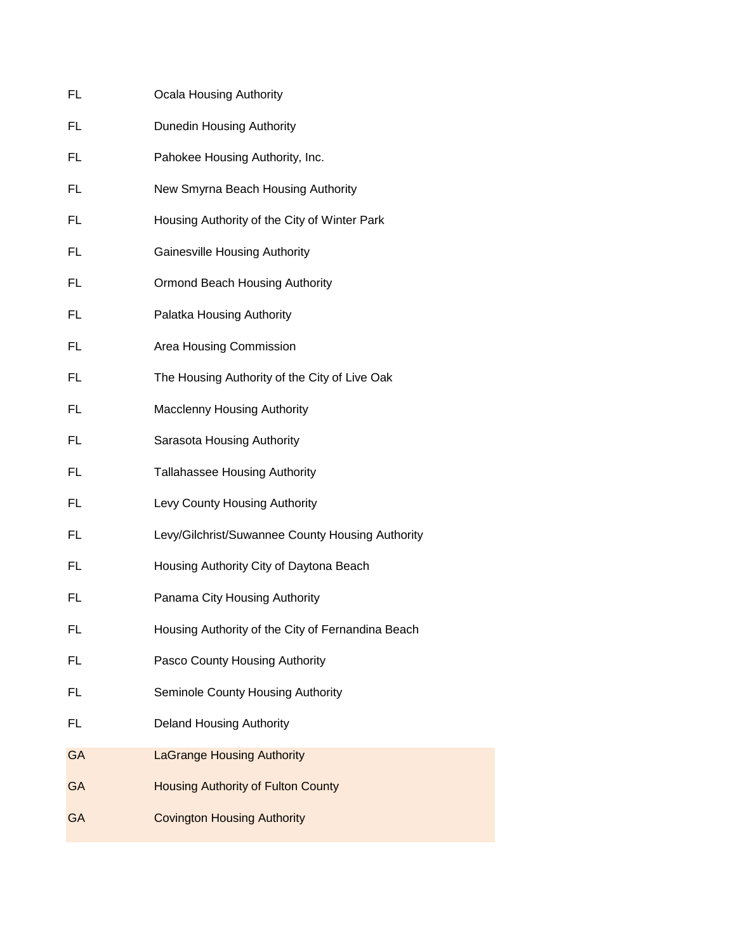| FL        | <b>Ocala Housing Authority</b>                    |
|-----------|---------------------------------------------------|
| FL        | Dunedin Housing Authority                         |
| FL        | Pahokee Housing Authority, Inc.                   |
| FL        | New Smyrna Beach Housing Authority                |
| FL        | Housing Authority of the City of Winter Park      |
| FL        | <b>Gainesville Housing Authority</b>              |
| FL        | Ormond Beach Housing Authority                    |
| FL        | Palatka Housing Authority                         |
| FL        | Area Housing Commission                           |
| FL        | The Housing Authority of the City of Live Oak     |
| FL        | <b>Macclenny Housing Authority</b>                |
| FL        | Sarasota Housing Authority                        |
| FL        | <b>Tallahassee Housing Authority</b>              |
| FL        | Levy County Housing Authority                     |
| FL        | Levy/Gilchrist/Suwannee County Housing Authority  |
| FL        | Housing Authority City of Daytona Beach           |
| FL        | Panama City Housing Authority                     |
| FL        | Housing Authority of the City of Fernandina Beach |
| <b>FL</b> | Pasco County Housing Authority                    |
| FL        | Seminole County Housing Authority                 |
| FL        | <b>Deland Housing Authority</b>                   |
| <b>GA</b> | <b>LaGrange Housing Authority</b>                 |
| <b>GA</b> | <b>Housing Authority of Fulton County</b>         |
| <b>GA</b> | <b>Covington Housing Authority</b>                |
|           |                                                   |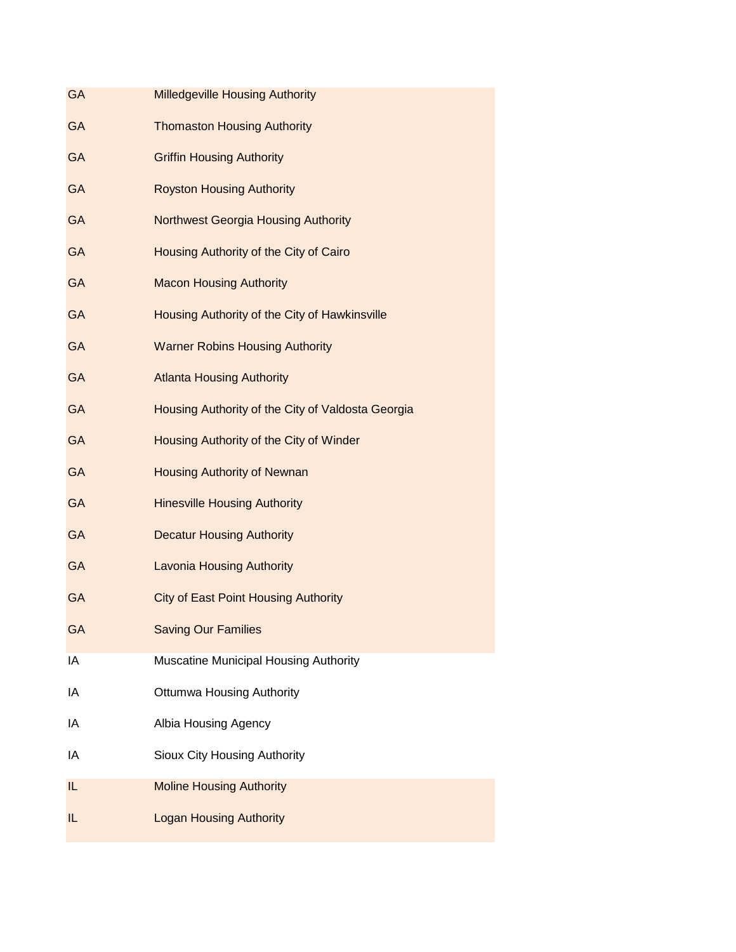| <b>GA</b> | <b>Milledgeville Housing Authority</b>            |
|-----------|---------------------------------------------------|
| <b>GA</b> | <b>Thomaston Housing Authority</b>                |
| <b>GA</b> | <b>Griffin Housing Authority</b>                  |
| <b>GA</b> | <b>Royston Housing Authority</b>                  |
| <b>GA</b> | <b>Northwest Georgia Housing Authority</b>        |
| <b>GA</b> | Housing Authority of the City of Cairo            |
| <b>GA</b> | <b>Macon Housing Authority</b>                    |
| <b>GA</b> | Housing Authority of the City of Hawkinsville     |
| <b>GA</b> | <b>Warner Robins Housing Authority</b>            |
| <b>GA</b> | <b>Atlanta Housing Authority</b>                  |
| <b>GA</b> | Housing Authority of the City of Valdosta Georgia |
| <b>GA</b> | Housing Authority of the City of Winder           |
| <b>GA</b> | <b>Housing Authority of Newnan</b>                |
| <b>GA</b> | <b>Hinesville Housing Authority</b>               |
| <b>GA</b> | <b>Decatur Housing Authority</b>                  |
| <b>GA</b> | <b>Lavonia Housing Authority</b>                  |
| <b>GA</b> | <b>City of East Point Housing Authority</b>       |
| <b>GA</b> | <b>Saving Our Families</b>                        |
| IA        | Muscatine Municipal Housing Authority             |
| IA        | <b>Ottumwa Housing Authority</b>                  |
| ΙA        | Albia Housing Agency                              |
| IA        | Sioux City Housing Authority                      |
| IL.       | <b>Moline Housing Authority</b>                   |
| IL        | <b>Logan Housing Authority</b>                    |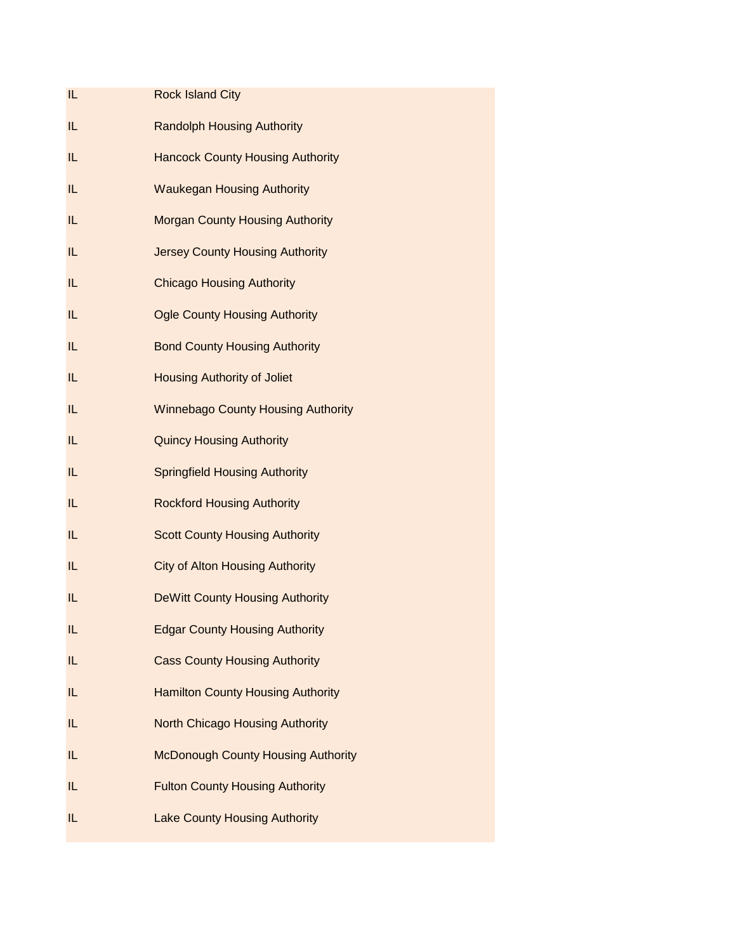| IL | <b>Rock Island City</b>                   |
|----|-------------------------------------------|
| IL | <b>Randolph Housing Authority</b>         |
| IL | <b>Hancock County Housing Authority</b>   |
| IL | <b>Waukegan Housing Authority</b>         |
| IL | <b>Morgan County Housing Authority</b>    |
| IL | <b>Jersey County Housing Authority</b>    |
| IL | <b>Chicago Housing Authority</b>          |
| IL | <b>Ogle County Housing Authority</b>      |
| IL | <b>Bond County Housing Authority</b>      |
| IL | <b>Housing Authority of Joliet</b>        |
| IL | <b>Winnebago County Housing Authority</b> |
| IL | <b>Quincy Housing Authority</b>           |
| IL | <b>Springfield Housing Authority</b>      |
| IL | <b>Rockford Housing Authority</b>         |
| IL | <b>Scott County Housing Authority</b>     |
| IL | <b>City of Alton Housing Authority</b>    |
| IL | <b>DeWitt County Housing Authority</b>    |
| IL | <b>Edgar County Housing Authority</b>     |
| IL | <b>Cass County Housing Authority</b>      |
| IL | <b>Hamilton County Housing Authority</b>  |
| IL | <b>North Chicago Housing Authority</b>    |
| IL | <b>McDonough County Housing Authority</b> |
| IL | <b>Fulton County Housing Authority</b>    |
| IL | <b>Lake County Housing Authority</b>      |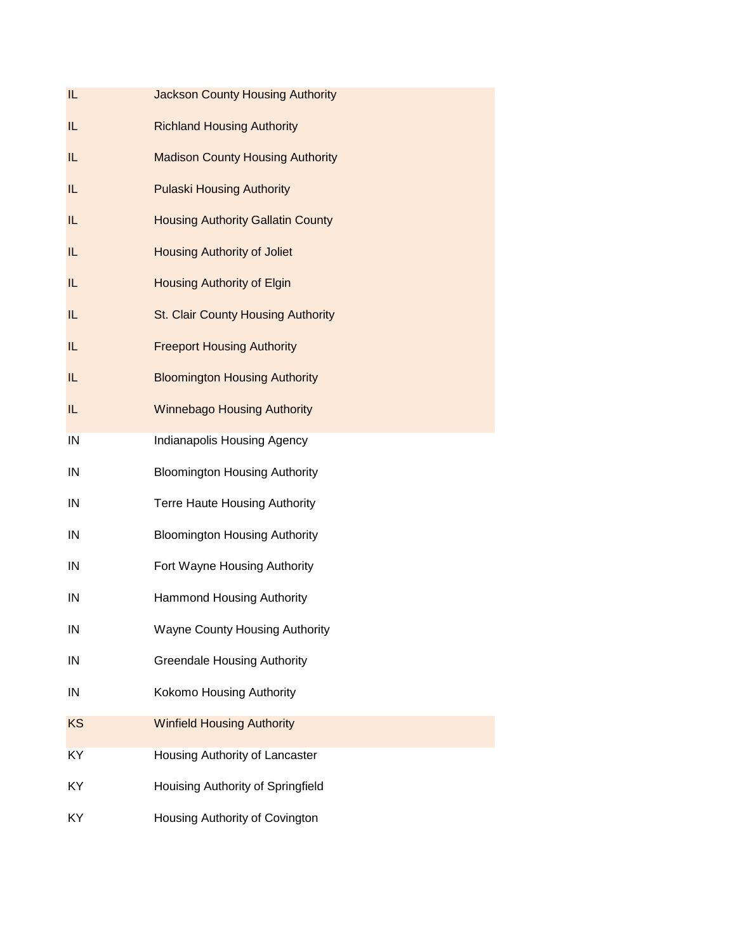| IL.       | <b>Jackson County Housing Authority</b>  |
|-----------|------------------------------------------|
| IL.       | <b>Richland Housing Authority</b>        |
| IL.       | <b>Madison County Housing Authority</b>  |
| IL.       | <b>Pulaski Housing Authority</b>         |
| IL        | <b>Housing Authority Gallatin County</b> |
| IL        | <b>Housing Authority of Joliet</b>       |
| IL        | <b>Housing Authority of Elgin</b>        |
| IL        | St. Clair County Housing Authority       |
| IL.       | <b>Freeport Housing Authority</b>        |
| IL.       | <b>Bloomington Housing Authority</b>     |
| IL        | <b>Winnebago Housing Authority</b>       |
| IN        | Indianapolis Housing Agency              |
| IN        | <b>Bloomington Housing Authority</b>     |
| IN        | <b>Terre Haute Housing Authority</b>     |
| IN        | <b>Bloomington Housing Authority</b>     |
| IN        | Fort Wayne Housing Authority             |
| IN        | <b>Hammond Housing Authority</b>         |
| IN        | <b>Wayne County Housing Authority</b>    |
| IN        | <b>Greendale Housing Authority</b>       |
| IN        | Kokomo Housing Authority                 |
| <b>KS</b> | <b>Winfield Housing Authority</b>        |
| KY        | Housing Authority of Lancaster           |
| KY        | Houising Authority of Springfield        |
| KY        | Housing Authority of Covington           |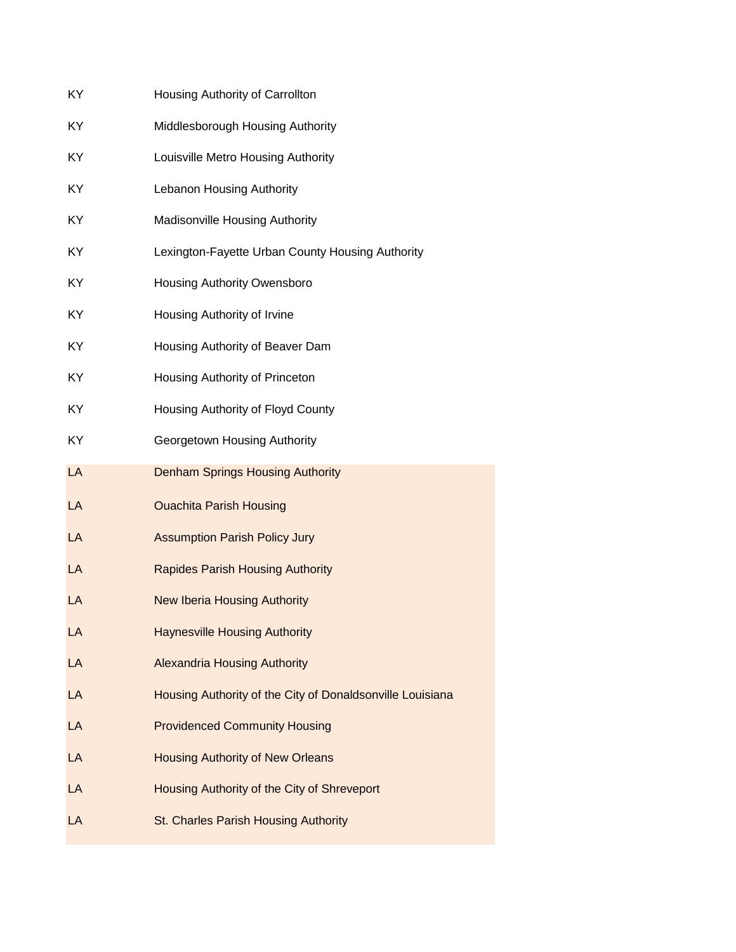| KY  | Housing Authority of Carrollton                           |
|-----|-----------------------------------------------------------|
| KY  | Middlesborough Housing Authority                          |
| KY  | Louisville Metro Housing Authority                        |
| KY  | Lebanon Housing Authority                                 |
| KY. | <b>Madisonville Housing Authority</b>                     |
| KY  | Lexington-Fayette Urban County Housing Authority          |
| KY  | <b>Housing Authority Owensboro</b>                        |
| KY  | Housing Authority of Irvine                               |
| KY  | Housing Authority of Beaver Dam                           |
| KY  | Housing Authority of Princeton                            |
| KY  | Housing Authority of Floyd County                         |
| KY. | Georgetown Housing Authority                              |
| LA  | <b>Denham Springs Housing Authority</b>                   |
| LA  | <b>Ouachita Parish Housing</b>                            |
| LA  | <b>Assumption Parish Policy Jury</b>                      |
| LA  | <b>Rapides Parish Housing Authority</b>                   |
|     |                                                           |
| LA  | <b>New Iberia Housing Authority</b>                       |
| LA  | <b>Haynesville Housing Authority</b>                      |
| LA  | <b>Alexandria Housing Authority</b>                       |
| LA  | Housing Authority of the City of Donaldsonville Louisiana |
| LA  | <b>Providenced Community Housing</b>                      |
| LA  | <b>Housing Authority of New Orleans</b>                   |
| LA  | Housing Authority of the City of Shreveport               |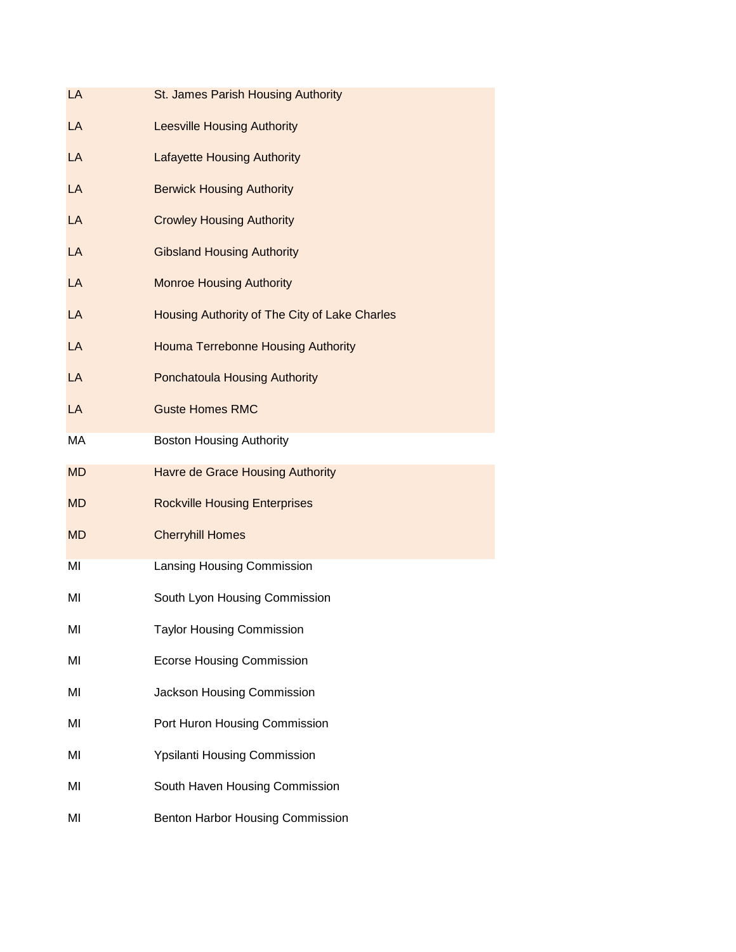| LA        | St. James Parish Housing Authority            |
|-----------|-----------------------------------------------|
| LA        | <b>Leesville Housing Authority</b>            |
| LA        | <b>Lafayette Housing Authority</b>            |
| LA        | <b>Berwick Housing Authority</b>              |
| LA        | <b>Crowley Housing Authority</b>              |
| LA        | <b>Gibsland Housing Authority</b>             |
| LA        | <b>Monroe Housing Authority</b>               |
| LA        | Housing Authority of The City of Lake Charles |
| LA        | <b>Houma Terrebonne Housing Authority</b>     |
| LA        | <b>Ponchatoula Housing Authority</b>          |
| LA        | <b>Guste Homes RMC</b>                        |
| МA        | <b>Boston Housing Authority</b>               |
| <b>MD</b> | <b>Havre de Grace Housing Authority</b>       |
| <b>MD</b> | <b>Rockville Housing Enterprises</b>          |
| <b>MD</b> | <b>Cherryhill Homes</b>                       |
| MI        | Lansing Housing Commission                    |
| MI        | South Lyon Housing Commission                 |
| MI        | <b>Taylor Housing Commission</b>              |
| MI        | <b>Ecorse Housing Commission</b>              |
| MI        | Jackson Housing Commission                    |
| MI        | Port Huron Housing Commission                 |
| ΜI        | <b>Ypsilanti Housing Commission</b>           |
| MI        | South Haven Housing Commission                |
| MI        | Benton Harbor Housing Commission              |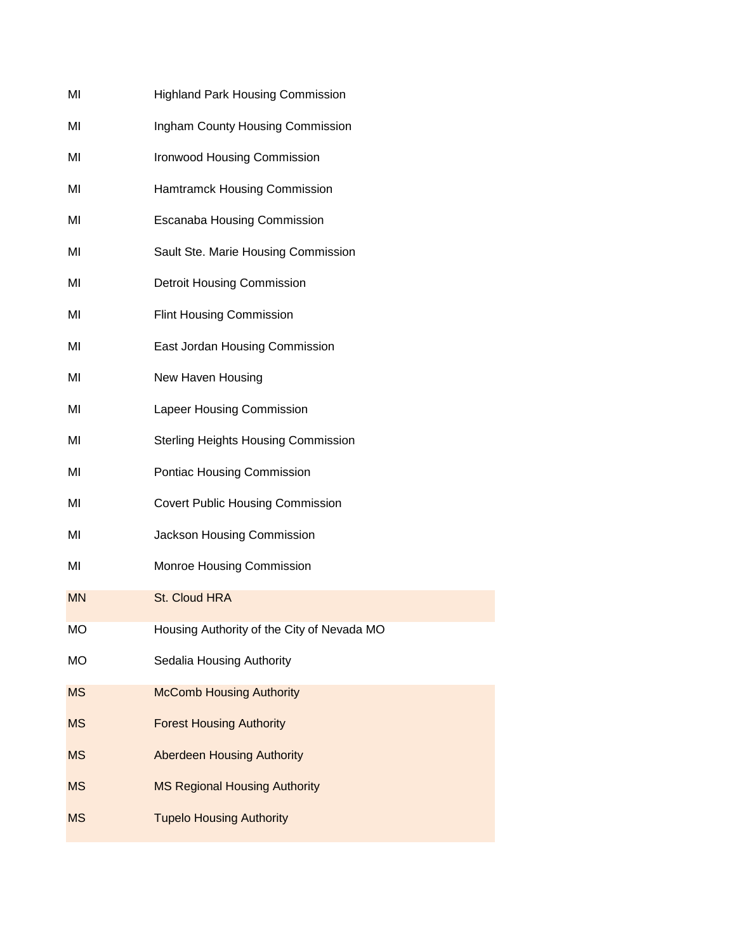| MI        | <b>Highland Park Housing Commission</b>    |
|-----------|--------------------------------------------|
| MI        | Ingham County Housing Commission           |
| MI        | <b>Ironwood Housing Commission</b>         |
| ΜI        | Hamtramck Housing Commission               |
| MI        | <b>Escanaba Housing Commission</b>         |
| MI        | Sault Ste. Marie Housing Commission        |
| MI        | <b>Detroit Housing Commission</b>          |
| MI        | <b>Flint Housing Commission</b>            |
| MI        | East Jordan Housing Commission             |
| MI        | New Haven Housing                          |
| MI        | Lapeer Housing Commission                  |
| MI        | <b>Sterling Heights Housing Commission</b> |
| ΜI        | Pontiac Housing Commission                 |
| MI        | <b>Covert Public Housing Commission</b>    |
| ΜI        | Jackson Housing Commission                 |
| MI        | Monroe Housing Commission                  |
| <b>MN</b> | St. Cloud HRA                              |
| МO        | Housing Authority of the City of Nevada MO |
| <b>MO</b> | Sedalia Housing Authority                  |
| <b>MS</b> | <b>McComb Housing Authority</b>            |
| <b>MS</b> | <b>Forest Housing Authority</b>            |
| <b>MS</b> | <b>Aberdeen Housing Authority</b>          |
| <b>MS</b> | <b>MS Regional Housing Authority</b>       |
| <b>MS</b> | <b>Tupelo Housing Authority</b>            |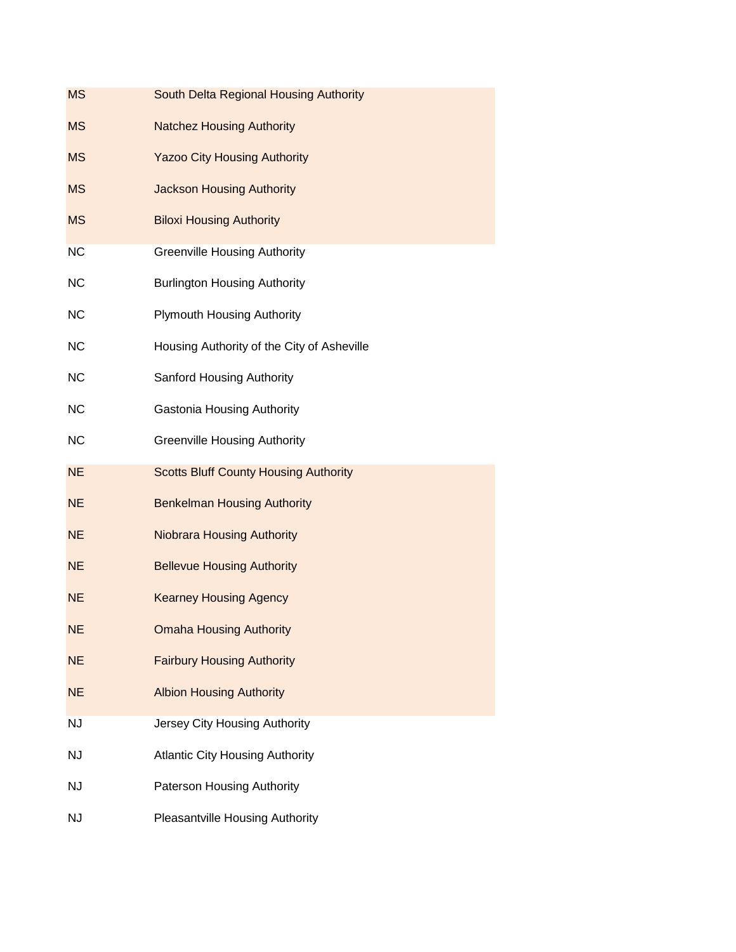| <b>MS</b> | South Delta Regional Housing Authority       |
|-----------|----------------------------------------------|
| <b>MS</b> | <b>Natchez Housing Authority</b>             |
| <b>MS</b> | <b>Yazoo City Housing Authority</b>          |
| <b>MS</b> | <b>Jackson Housing Authority</b>             |
| <b>MS</b> | <b>Biloxi Housing Authority</b>              |
| <b>NC</b> | <b>Greenville Housing Authority</b>          |
| <b>NC</b> | <b>Burlington Housing Authority</b>          |
| <b>NC</b> | <b>Plymouth Housing Authority</b>            |
| <b>NC</b> | Housing Authority of the City of Asheville   |
| <b>NC</b> | <b>Sanford Housing Authority</b>             |
| <b>NC</b> | <b>Gastonia Housing Authority</b>            |
| <b>NC</b> | <b>Greenville Housing Authority</b>          |
| <b>NE</b> | <b>Scotts Bluff County Housing Authority</b> |
| <b>NE</b> | <b>Benkelman Housing Authority</b>           |
| <b>NE</b> | <b>Niobrara Housing Authority</b>            |
| <b>NE</b> | <b>Bellevue Housing Authority</b>            |
| <b>NE</b> | <b>Kearney Housing Agency</b>                |
| <b>NE</b> | <b>Omaha Housing Authority</b>               |
| <b>NE</b> | <b>Fairbury Housing Authority</b>            |
| <b>NE</b> | <b>Albion Housing Authority</b>              |
| <b>NJ</b> | Jersey City Housing Authority                |
| <b>NJ</b> | <b>Atlantic City Housing Authority</b>       |
| <b>NJ</b> | Paterson Housing Authority                   |
| <b>NJ</b> | <b>Pleasantville Housing Authority</b>       |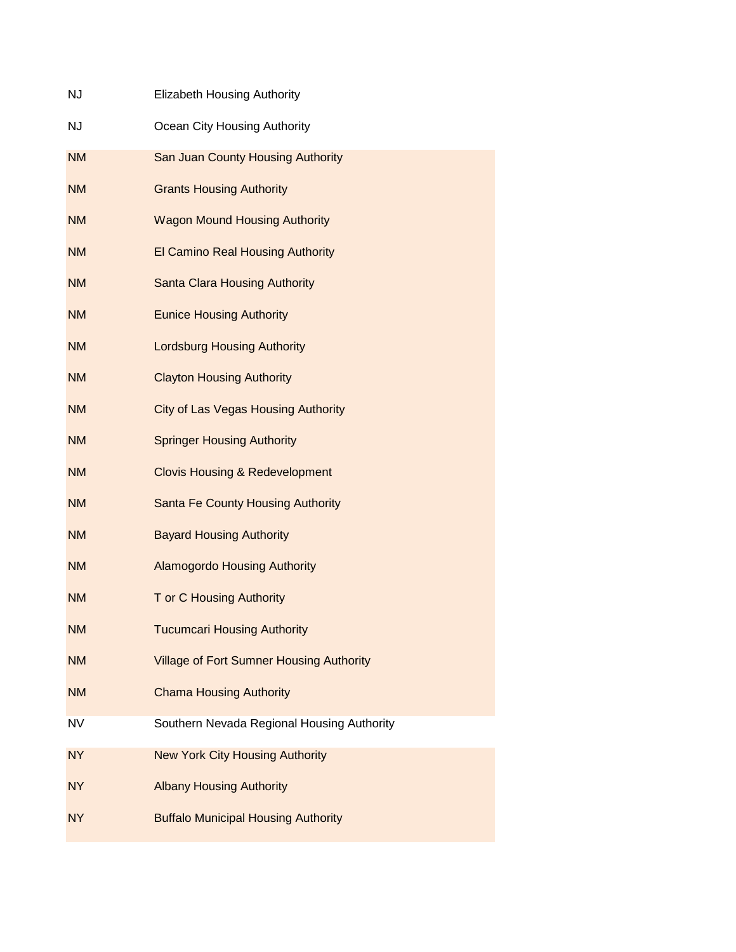| <b>NJ</b> | <b>Elizabeth Housing Authority</b>              |
|-----------|-------------------------------------------------|
| <b>NJ</b> | Ocean City Housing Authority                    |
| <b>NM</b> | San Juan County Housing Authority               |
| <b>NM</b> | <b>Grants Housing Authority</b>                 |
| <b>NM</b> | <b>Wagon Mound Housing Authority</b>            |
| <b>NM</b> | <b>El Camino Real Housing Authority</b>         |
| <b>NM</b> | <b>Santa Clara Housing Authority</b>            |
| <b>NM</b> | <b>Eunice Housing Authority</b>                 |
| <b>NM</b> | <b>Lordsburg Housing Authority</b>              |
| <b>NM</b> | <b>Clayton Housing Authority</b>                |
| <b>NM</b> | <b>City of Las Vegas Housing Authority</b>      |
| <b>NM</b> | <b>Springer Housing Authority</b>               |
| <b>NM</b> | <b>Clovis Housing &amp; Redevelopment</b>       |
| <b>NM</b> | <b>Santa Fe County Housing Authority</b>        |
| <b>NM</b> | <b>Bayard Housing Authority</b>                 |
| <b>NM</b> | <b>Alamogordo Housing Authority</b>             |
| <b>NM</b> | T or C Housing Authority                        |
| <b>NM</b> | <b>Tucumcari Housing Authority</b>              |
| <b>NM</b> | <b>Village of Fort Sumner Housing Authority</b> |
| <b>NM</b> | <b>Chama Housing Authority</b>                  |
| <b>NV</b> | Southern Nevada Regional Housing Authority      |
| <b>NY</b> | <b>New York City Housing Authority</b>          |
| <b>NY</b> | <b>Albany Housing Authority</b>                 |
| <b>NY</b> | <b>Buffalo Municipal Housing Authority</b>      |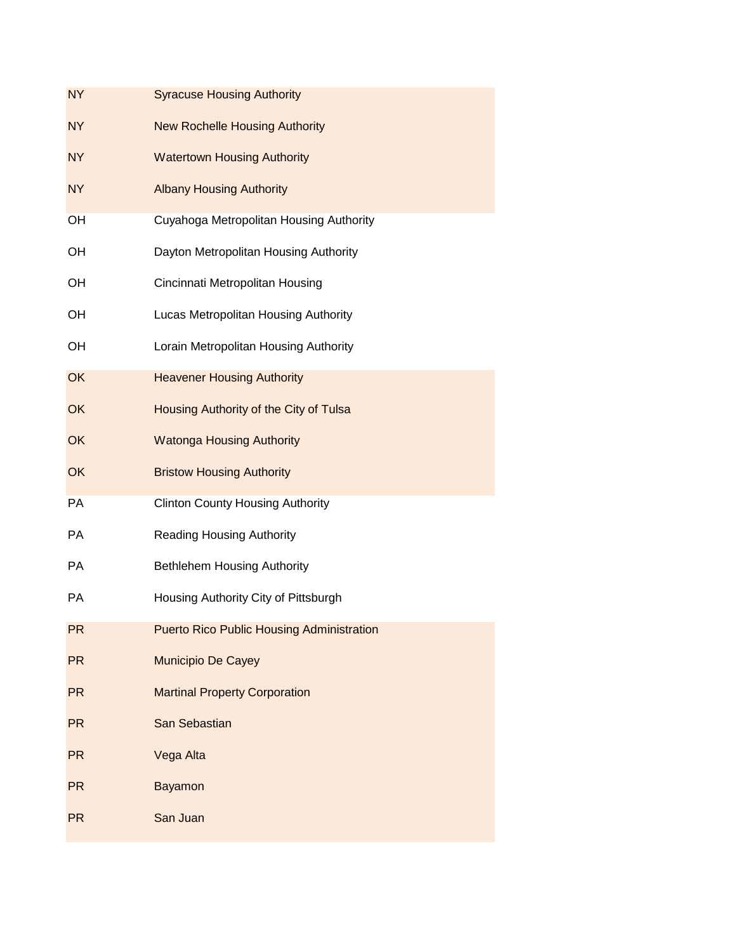| <b>NY</b> | <b>Syracuse Housing Authority</b>                |
|-----------|--------------------------------------------------|
| <b>NY</b> | <b>New Rochelle Housing Authority</b>            |
| <b>NY</b> | <b>Watertown Housing Authority</b>               |
| <b>NY</b> | <b>Albany Housing Authority</b>                  |
| OH        | Cuyahoga Metropolitan Housing Authority          |
| OH        | Dayton Metropolitan Housing Authority            |
| OH        | Cincinnati Metropolitan Housing                  |
| OH        | Lucas Metropolitan Housing Authority             |
| OH        | Lorain Metropolitan Housing Authority            |
| OK        | <b>Heavener Housing Authority</b>                |
| OK        | Housing Authority of the City of Tulsa           |
| OK        | <b>Watonga Housing Authority</b>                 |
| OK        | <b>Bristow Housing Authority</b>                 |
| PA        | <b>Clinton County Housing Authority</b>          |
| <b>PA</b> | <b>Reading Housing Authority</b>                 |
| PA        | <b>Bethlehem Housing Authority</b>               |
| PA        | Housing Authority City of Pittsburgh             |
| <b>PR</b> | <b>Puerto Rico Public Housing Administration</b> |
| <b>PR</b> | Municipio De Cayey                               |
| <b>PR</b> | <b>Martinal Property Corporation</b>             |
| <b>PR</b> | San Sebastian                                    |
| <b>PR</b> | Vega Alta                                        |
| <b>PR</b> | <b>Bayamon</b>                                   |
| <b>PR</b> | San Juan                                         |
|           |                                                  |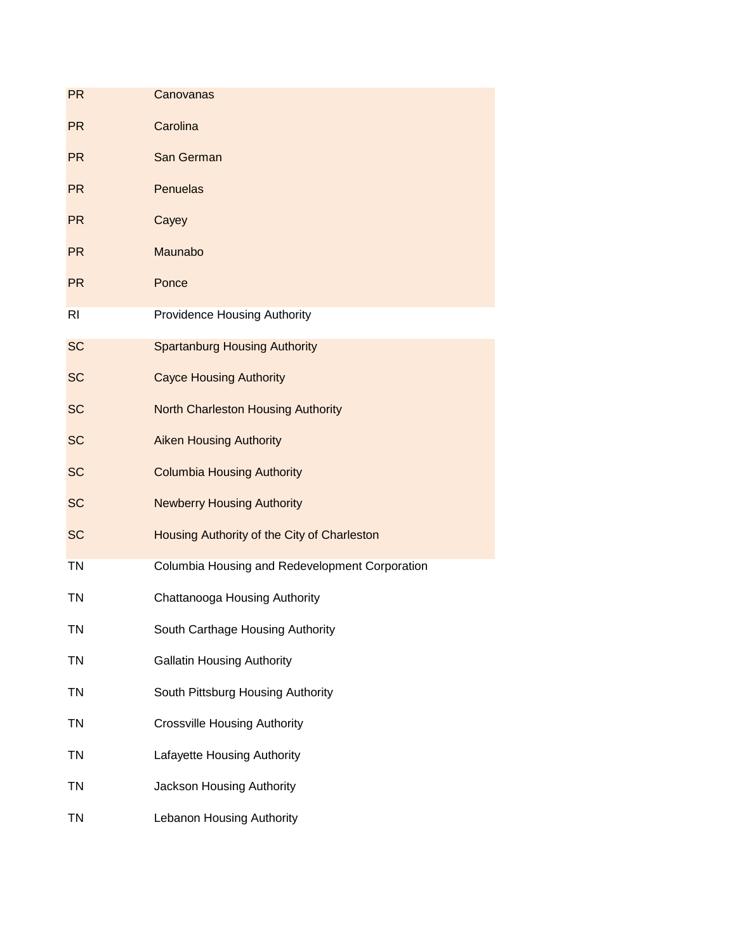| <b>PR</b>      | Canovanas                                      |
|----------------|------------------------------------------------|
| <b>PR</b>      | Carolina                                       |
| PR             | San German                                     |
| <b>PR</b>      | <b>Penuelas</b>                                |
| <b>PR</b>      | Cayey                                          |
| <b>PR</b>      | Maunabo                                        |
| <b>PR</b>      | Ponce                                          |
| R <sub>l</sub> | <b>Providence Housing Authority</b>            |
| <b>SC</b>      | <b>Spartanburg Housing Authority</b>           |
| <b>SC</b>      | <b>Cayce Housing Authority</b>                 |
| <b>SC</b>      | <b>North Charleston Housing Authority</b>      |
| <b>SC</b>      | <b>Aiken Housing Authority</b>                 |
| <b>SC</b>      | <b>Columbia Housing Authority</b>              |
| <b>SC</b>      | <b>Newberry Housing Authority</b>              |
| <b>SC</b>      | Housing Authority of the City of Charleston    |
| <b>TN</b>      | Columbia Housing and Redevelopment Corporation |
| <b>TN</b>      | Chattanooga Housing Authority                  |
| ΤN             | South Carthage Housing Authority               |
| <b>TN</b>      | <b>Gallatin Housing Authority</b>              |
| TN             | South Pittsburg Housing Authority              |
| <b>TN</b>      | <b>Crossville Housing Authority</b>            |
| <b>TN</b>      | Lafayette Housing Authority                    |
| TN             | Jackson Housing Authority                      |
| <b>TN</b>      | Lebanon Housing Authority                      |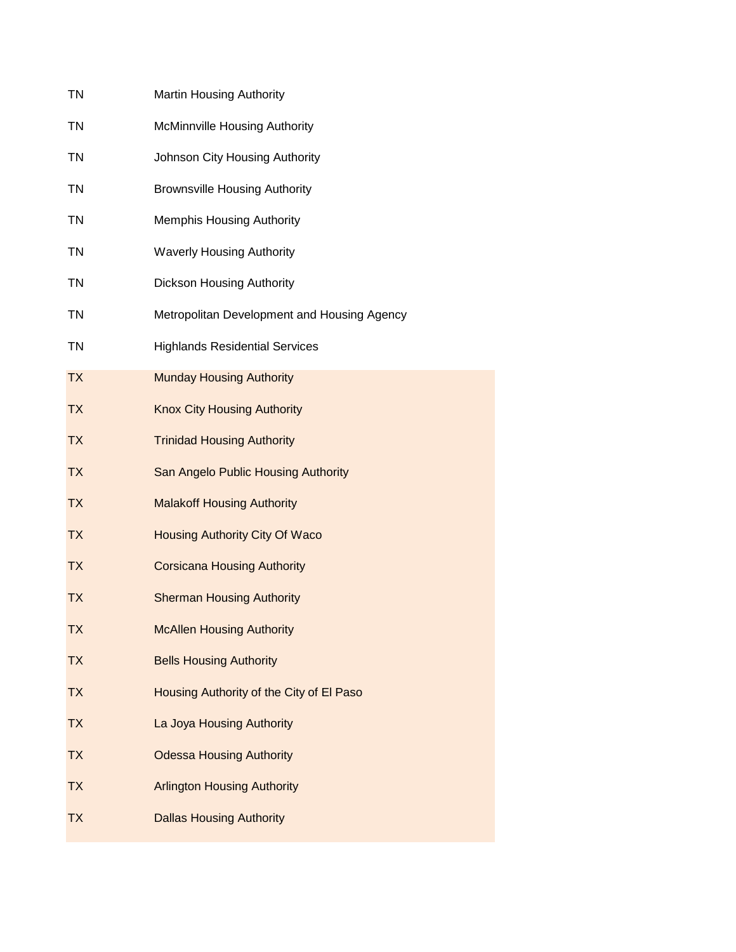| <b>Martin Housing Authority</b>             |
|---------------------------------------------|
| McMinnville Housing Authority               |
| Johnson City Housing Authority              |
| <b>Brownsville Housing Authority</b>        |
| <b>Memphis Housing Authority</b>            |
| <b>Waverly Housing Authority</b>            |
| Dickson Housing Authority                   |
| Metropolitan Development and Housing Agency |
| <b>Highlands Residential Services</b>       |
| <b>Munday Housing Authority</b>             |
| <b>Knox City Housing Authority</b>          |
| <b>Trinidad Housing Authority</b>           |
| San Angelo Public Housing Authority         |
| <b>Malakoff Housing Authority</b>           |
| Housing Authority City Of Waco              |
| <b>Corsicana Housing Authority</b>          |
| <b>Sherman Housing Authority</b>            |
| <b>McAllen Housing Authority</b>            |
| <b>Bells Housing Authority</b>              |
| Housing Authority of the City of El Paso    |
| La Joya Housing Authority                   |
| <b>Odessa Housing Authority</b>             |
| <b>Arlington Housing Authority</b>          |
| <b>Dallas Housing Authority</b>             |
|                                             |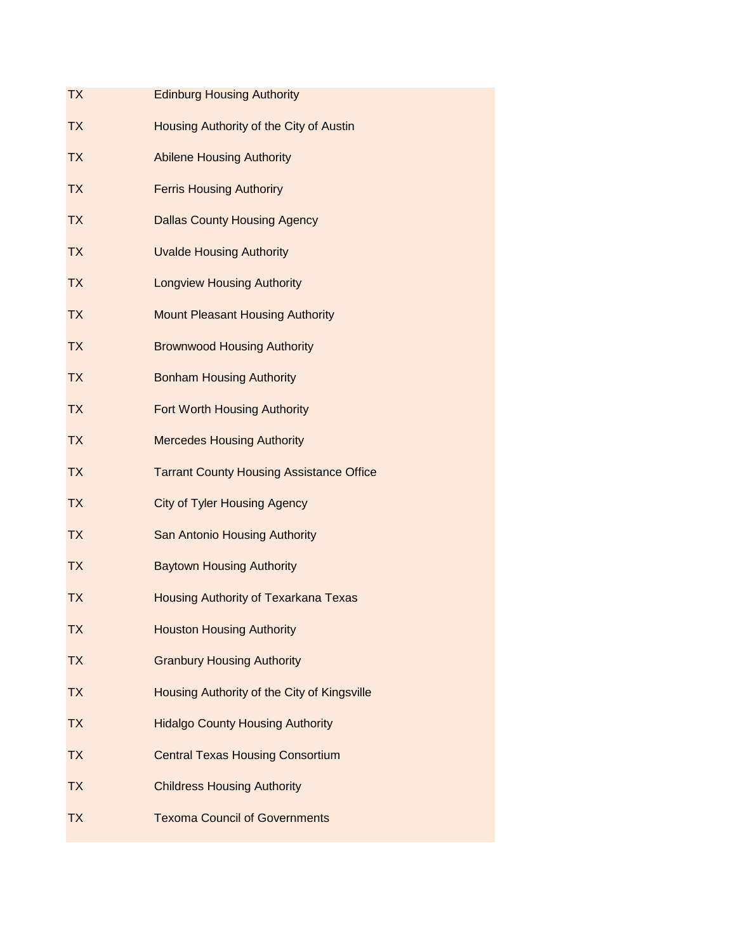| <b>TX</b> | <b>Edinburg Housing Authority</b>               |
|-----------|-------------------------------------------------|
| <b>TX</b> | Housing Authority of the City of Austin         |
| <b>TX</b> | <b>Abilene Housing Authority</b>                |
| <b>TX</b> | <b>Ferris Housing Authoriry</b>                 |
| <b>TX</b> | <b>Dallas County Housing Agency</b>             |
| TX.       | <b>Uvalde Housing Authority</b>                 |
| <b>TX</b> | <b>Longview Housing Authority</b>               |
| <b>TX</b> | <b>Mount Pleasant Housing Authority</b>         |
| <b>TX</b> | <b>Brownwood Housing Authority</b>              |
| TX.       | <b>Bonham Housing Authority</b>                 |
| <b>TX</b> | <b>Fort Worth Housing Authority</b>             |
| <b>TX</b> | <b>Mercedes Housing Authority</b>               |
| <b>TX</b> | <b>Tarrant County Housing Assistance Office</b> |
| <b>TX</b> | <b>City of Tyler Housing Agency</b>             |
| TX.       | <b>San Antonio Housing Authority</b>            |
| TX.       | <b>Baytown Housing Authority</b>                |
| TX.       | Housing Authority of Texarkana Texas            |
| TХ        | <b>Houston Housing Authority</b>                |
| <b>TX</b> | <b>Granbury Housing Authority</b>               |
| <b>TX</b> | Housing Authority of the City of Kingsville     |
| <b>TX</b> | <b>Hidalgo County Housing Authority</b>         |
| <b>TX</b> | <b>Central Texas Housing Consortium</b>         |
| <b>TX</b> | <b>Childress Housing Authority</b>              |
| <b>TX</b> | <b>Texoma Council of Governments</b>            |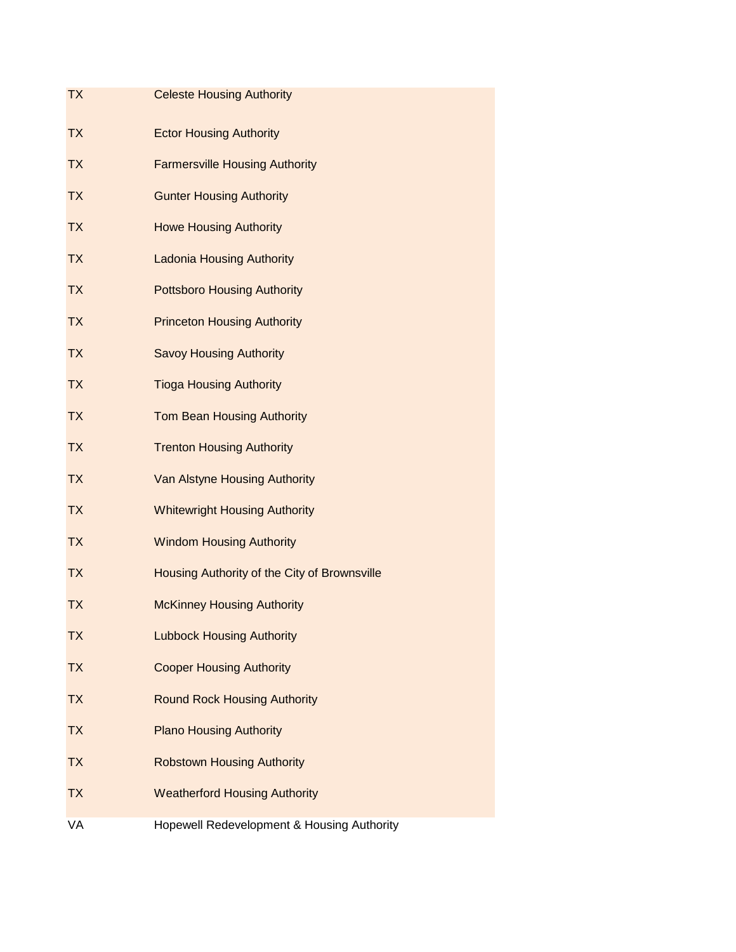| <b>TX</b> | <b>Celeste Housing Authority</b>             |
|-----------|----------------------------------------------|
| <b>TX</b> | <b>Ector Housing Authority</b>               |
| <b>TX</b> | <b>Farmersville Housing Authority</b>        |
| <b>TX</b> | <b>Gunter Housing Authority</b>              |
| <b>TX</b> | <b>Howe Housing Authority</b>                |
| <b>TX</b> | <b>Ladonia Housing Authority</b>             |
| <b>TX</b> | <b>Pottsboro Housing Authority</b>           |
| <b>TX</b> | <b>Princeton Housing Authority</b>           |
| <b>TX</b> | <b>Savoy Housing Authority</b>               |
| <b>TX</b> | <b>Tioga Housing Authority</b>               |
| <b>TX</b> | <b>Tom Bean Housing Authority</b>            |
| <b>TX</b> | <b>Trenton Housing Authority</b>             |
| <b>TX</b> | Van Alstyne Housing Authority                |
| <b>TX</b> | <b>Whitewright Housing Authority</b>         |
| <b>TX</b> | <b>Windom Housing Authority</b>              |
| <b>TX</b> | Housing Authority of the City of Brownsville |
| <b>TX</b> | <b>McKinney Housing Authority</b>            |
| <b>TX</b> | <b>Lubbock Housing Authority</b>             |
| <b>TX</b> | <b>Cooper Housing Authority</b>              |
| <b>TX</b> | <b>Round Rock Housing Authority</b>          |
| <b>TX</b> | <b>Plano Housing Authority</b>               |
| <b>TX</b> | <b>Robstown Housing Authority</b>            |
| <b>TX</b> | <b>Weatherford Housing Authority</b>         |
| VA        | Hopewell Redevelopment & Housing Authority   |